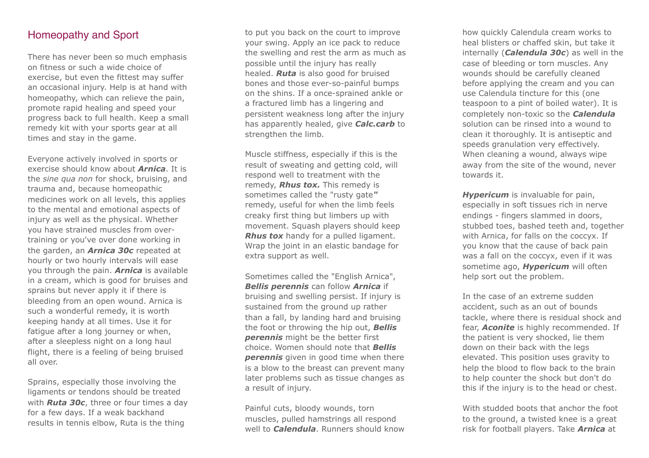## Homeopathy and Sport

There has never been so much emphasis on fitness or such a wide choice of exercise, but even the fittest may suffer an occasional injury. Help is at hand with homeopathy, which can relieve the pain, promote rapid healing and speed your progress back to full health. Keep a small remedy kit with your sports gear at all times and stay in the game.

Everyone actively involved in sports or exercise should know about *Arnica*. It is the *sine qua non* for shock, bruising, and trauma and, because homeopathic medicines work on all levels, this applies to the mental and emotional aspects of injury as well as the physical. Whether you have strained muscles from overtraining or you've over done working in the garden, an *Arnica 30c* repeated at hourly or two hourly intervals will ease you through the pain. *Arnica* is available in a cream, which is good for bruises and sprains but never apply it if there is bleeding from an open wound. Arnica is such a wonderful remedy, it is worth keeping handy at all times. Use it for fatigue after a long journey or when, after a sleepless night on a long haul flight, there is a feeling of being bruised all over.

Sprains, especially those involving the ligaments or tendons should be treated with *Ruta 30c*, three or four times a day for a few days. If a weak backhand results in tennis elbow, Ruta is the thing

to put you back on the court to improve your swing. Apply an ice pack to reduce the swelling and rest the arm as much as possible until the injury has really healed. *Ruta* is also good for bruised bones and those ever-so-painful bumps on the shins. If a once-sprained ankle or a fractured limb has a lingering and persistent weakness long after the injury has apparently healed, give *Calc.carb* to strengthen the limb.

Muscle stiffness, especially if this is the result of sweating and getting cold, will respond well to treatment with the remedy, *Rhus tox.* This remedy is sometimes called the "rusty gate*"*  remedy, useful for when the limb feels creaky first thing but limbers up with movement. Squash players should keep **Rhus tox** handy for a pulled ligament. Wrap the joint in an elastic bandage for extra support as well.

Sometimes called the "English Arnica", *Bellis perennis* can follow *Arnica* if bruising and swelling persist. If injury is sustained from the ground up rather than a fall, by landing hard and bruising the foot or throwing the hip out, *Bellis perennis* might be the better first choice. Women should note that *Bellis perennis* given in good time when there is a blow to the breast can prevent many later problems such as tissue changes as a result of injury.

Painful cuts, bloody wounds, torn muscles, pulled hamstrings all respond well to *Calendula*. Runners should know

how quickly Calendula cream works to heal blisters or chaffed skin, but take it internally (*Calendula 30c*) as well in the case of bleeding or torn muscles. Any wounds should be carefully cleaned before applying the cream and you can use Calendula tincture for this (one teaspoon to a pint of boiled water). It is completely non-toxic so the *Calendula* solution can be rinsed into a wound to clean it thoroughly. It is antiseptic and speeds granulation very effectively. When cleaning a wound, always wipe away from the site of the wound, never towards it.

*Hypericum* is invaluable for pain, especially in soft tissues rich in nerve endings - fingers slammed in doors, stubbed toes, bashed teeth and, together with Arnica, for falls on the coccyx. If you know that the cause of back pain was a fall on the coccyx, even if it was sometime ago, *Hypericum* will often help sort out the problem.

In the case of an extreme sudden accident, such as an out of bounds tackle, where there is residual shock and fear, *Aconite* is highly recommended. If the patient is very shocked, lie them down on their back with the legs elevated. This position uses gravity to help the blood to flow back to the brain to help counter the shock but don't do this if the injury is to the head or chest.

With studded boots that anchor the foot to the ground, a twisted knee is a great risk for football players. Take *Arnica* at